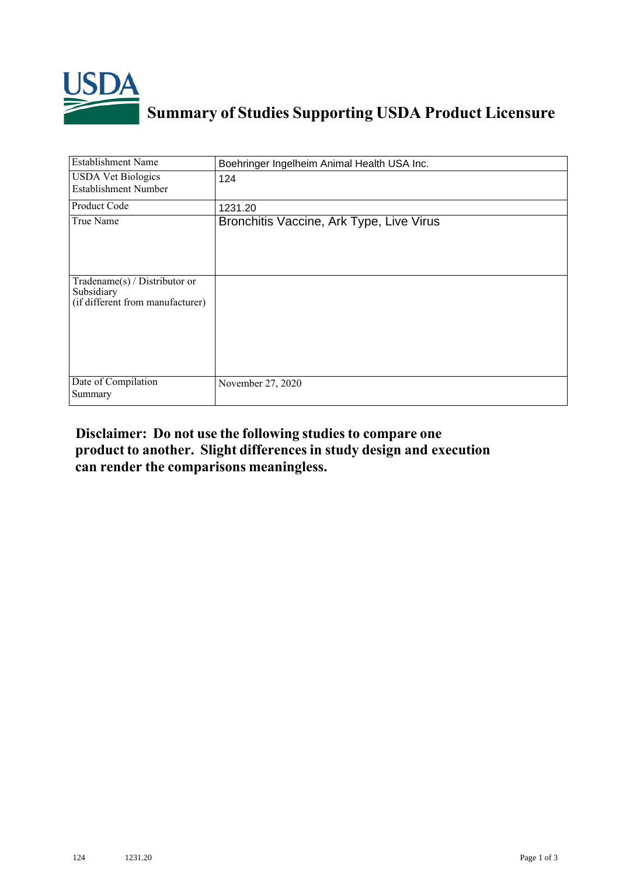

## **Summary of Studies Supporting USDA Product Licensure**

| <b>Establishment Name</b>                                                       | Boehringer Ingelheim Animal Health USA Inc. |
|---------------------------------------------------------------------------------|---------------------------------------------|
| <b>USDA Vet Biologics</b><br><b>Establishment Number</b>                        | 124                                         |
| Product Code                                                                    | 1231.20                                     |
| True Name                                                                       | Bronchitis Vaccine, Ark Type, Live Virus    |
| Tradename(s) / Distributor or<br>Subsidiary<br>(if different from manufacturer) |                                             |
| Date of Compilation<br>Summary                                                  | November 27, 2020                           |

## **Disclaimer: Do not use the following studiesto compare one product to another. Slight differencesin study design and execution can render the comparisons meaningless.**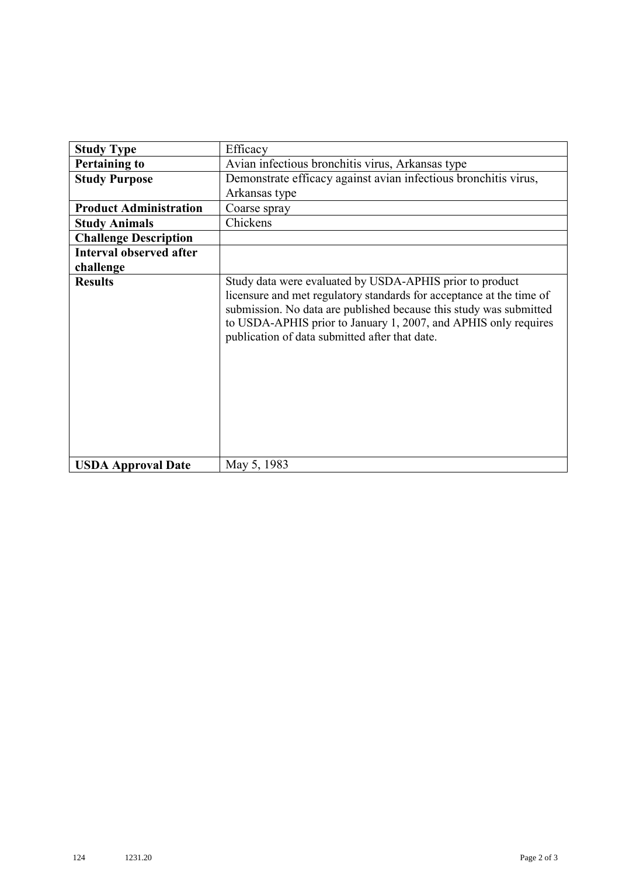| <b>Study Type</b>              | Efficacy                                                                                                                                                                                                                                                                                                                    |
|--------------------------------|-----------------------------------------------------------------------------------------------------------------------------------------------------------------------------------------------------------------------------------------------------------------------------------------------------------------------------|
| <b>Pertaining to</b>           | Avian infectious bronchitis virus, Arkansas type                                                                                                                                                                                                                                                                            |
| <b>Study Purpose</b>           | Demonstrate efficacy against avian infectious bronchitis virus,                                                                                                                                                                                                                                                             |
|                                | Arkansas type                                                                                                                                                                                                                                                                                                               |
| <b>Product Administration</b>  | Coarse spray                                                                                                                                                                                                                                                                                                                |
| <b>Study Animals</b>           | Chickens                                                                                                                                                                                                                                                                                                                    |
| <b>Challenge Description</b>   |                                                                                                                                                                                                                                                                                                                             |
| <b>Interval observed after</b> |                                                                                                                                                                                                                                                                                                                             |
| challenge                      |                                                                                                                                                                                                                                                                                                                             |
| <b>Results</b>                 | Study data were evaluated by USDA-APHIS prior to product<br>licensure and met regulatory standards for acceptance at the time of<br>submission. No data are published because this study was submitted<br>to USDA-APHIS prior to January 1, 2007, and APHIS only requires<br>publication of data submitted after that date. |
| <b>USDA Approval Date</b>      | May 5, 1983                                                                                                                                                                                                                                                                                                                 |